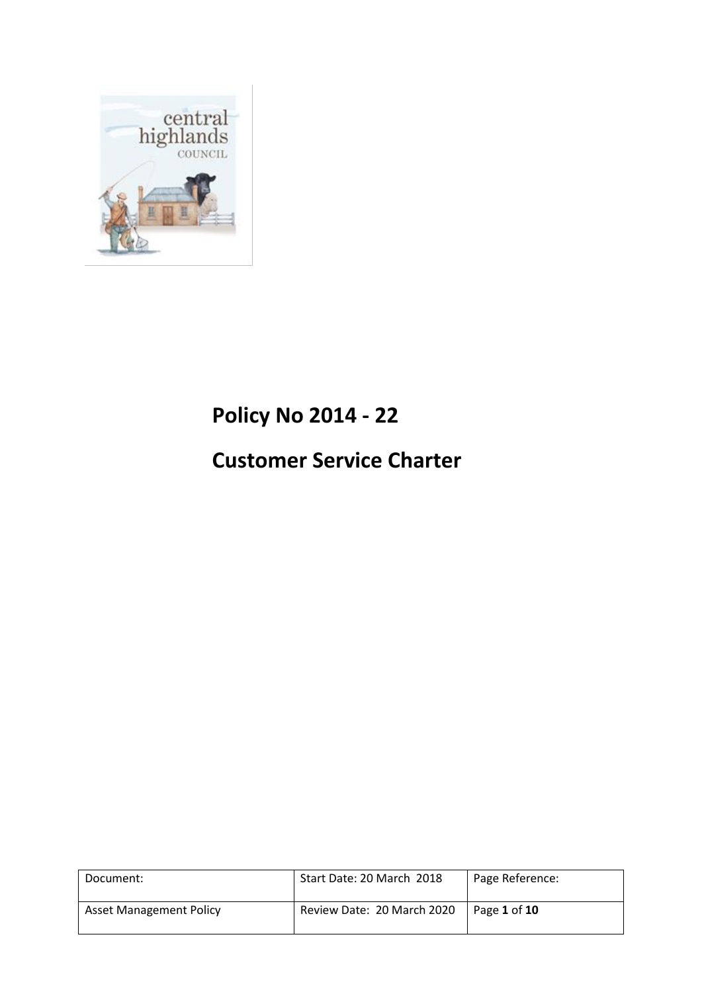

# **Policy No 2014 - 22**

# **Customer Service Charter**

| Document:                      | Start Date: 20 March 2018  | Page Reference: |
|--------------------------------|----------------------------|-----------------|
| <b>Asset Management Policy</b> | Review Date: 20 March 2020 | Page 1 of 10    |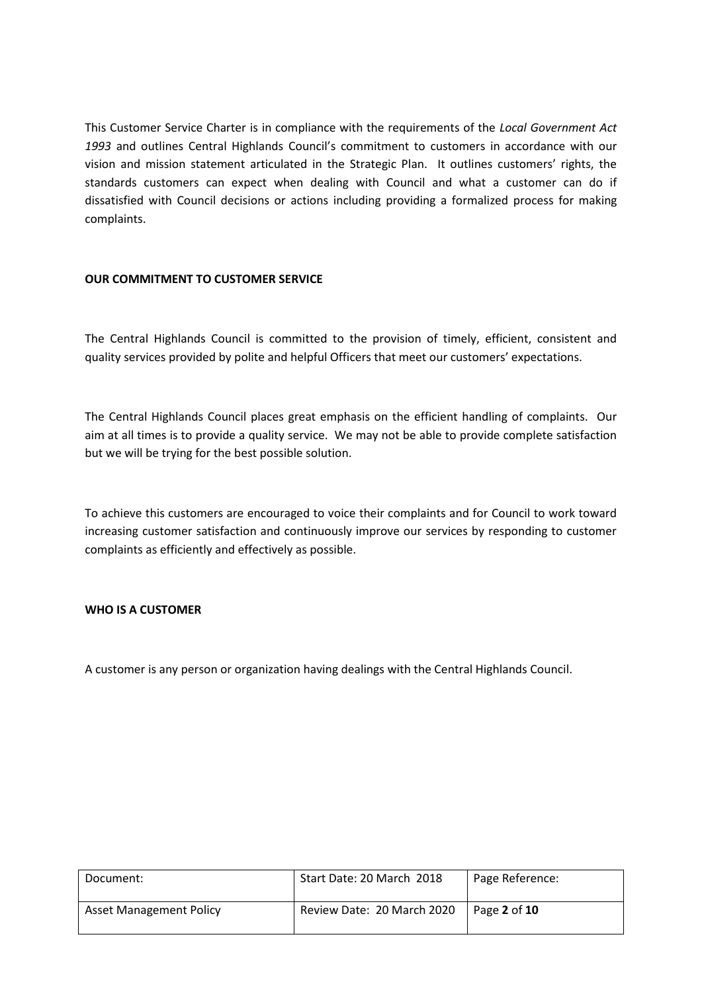This Customer Service Charter is in compliance with the requirements of the *Local Government Act 1993* and outlines Central Highlands Council's commitment to customers in accordance with our vision and mission statement articulated in the Strategic Plan. It outlines customers' rights, the standards customers can expect when dealing with Council and what a customer can do if dissatisfied with Council decisions or actions including providing a formalized process for making complaints.

# **OUR COMMITMENT TO CUSTOMER SERVICE**

The Central Highlands Council is committed to the provision of timely, efficient, consistent and quality services provided by polite and helpful Officers that meet our customers' expectations.

The Central Highlands Council places great emphasis on the efficient handling of complaints. Our aim at all times is to provide a quality service. We may not be able to provide complete satisfaction but we will be trying for the best possible solution.

To achieve this customers are encouraged to voice their complaints and for Council to work toward increasing customer satisfaction and continuously improve our services by responding to customer complaints as efficiently and effectively as possible.

# **WHO IS A CUSTOMER**

A customer is any person or organization having dealings with the Central Highlands Council.

| Document:                      | Start Date: 20 March 2018  | Page Reference: |
|--------------------------------|----------------------------|-----------------|
| <b>Asset Management Policy</b> | Review Date: 20 March 2020 | Page 2 of 10    |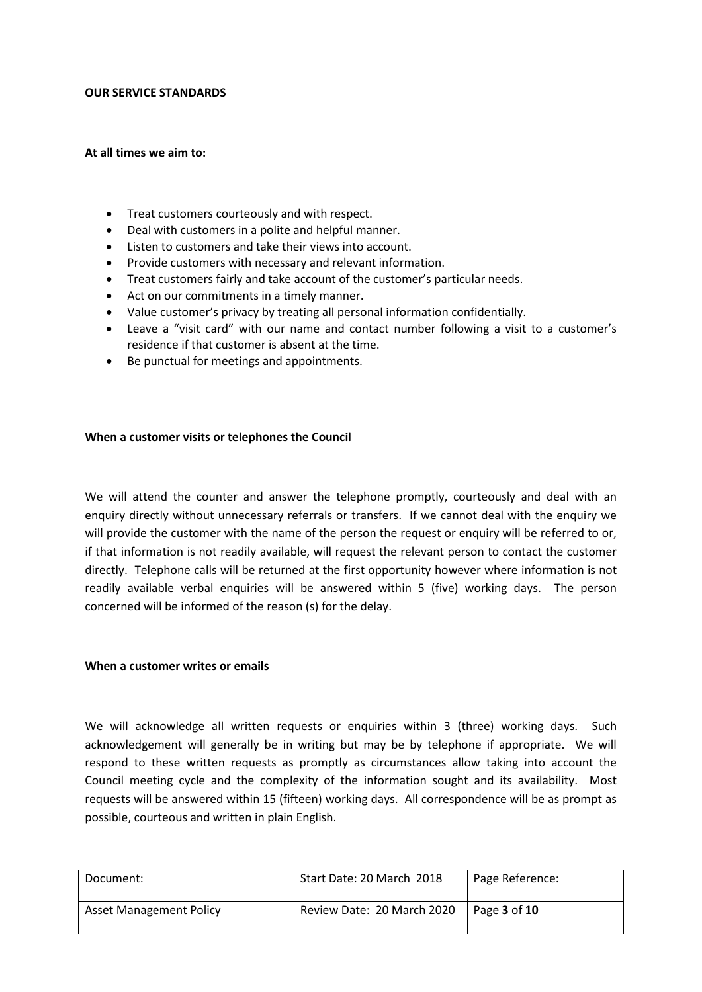## **OUR SERVICE STANDARDS**

## **At all times we aim to:**

- Treat customers courteously and with respect.
- Deal with customers in a polite and helpful manner.
- Listen to customers and take their views into account.
- Provide customers with necessary and relevant information.
- Treat customers fairly and take account of the customer's particular needs.
- Act on our commitments in a timely manner.
- Value customer's privacy by treating all personal information confidentially.
- Leave a "visit card" with our name and contact number following a visit to a customer's residence if that customer is absent at the time.
- Be punctual for meetings and appointments.

## **When a customer visits or telephones the Council**

We will attend the counter and answer the telephone promptly, courteously and deal with an enquiry directly without unnecessary referrals or transfers. If we cannot deal with the enquiry we will provide the customer with the name of the person the request or enquiry will be referred to or, if that information is not readily available, will request the relevant person to contact the customer directly. Telephone calls will be returned at the first opportunity however where information is not readily available verbal enquiries will be answered within 5 (five) working days. The person concerned will be informed of the reason (s) for the delay.

## **When a customer writes or emails**

We will acknowledge all written requests or enquiries within 3 (three) working days. Such acknowledgement will generally be in writing but may be by telephone if appropriate. We will respond to these written requests as promptly as circumstances allow taking into account the Council meeting cycle and the complexity of the information sought and its availability. Most requests will be answered within 15 (fifteen) working days. All correspondence will be as prompt as possible, courteous and written in plain English.

| Document:                      | Start Date: 20 March 2018  | Page Reference:            |
|--------------------------------|----------------------------|----------------------------|
| <b>Asset Management Policy</b> | Review Date: 20 March 2020 | Page <b>3</b> of <b>10</b> |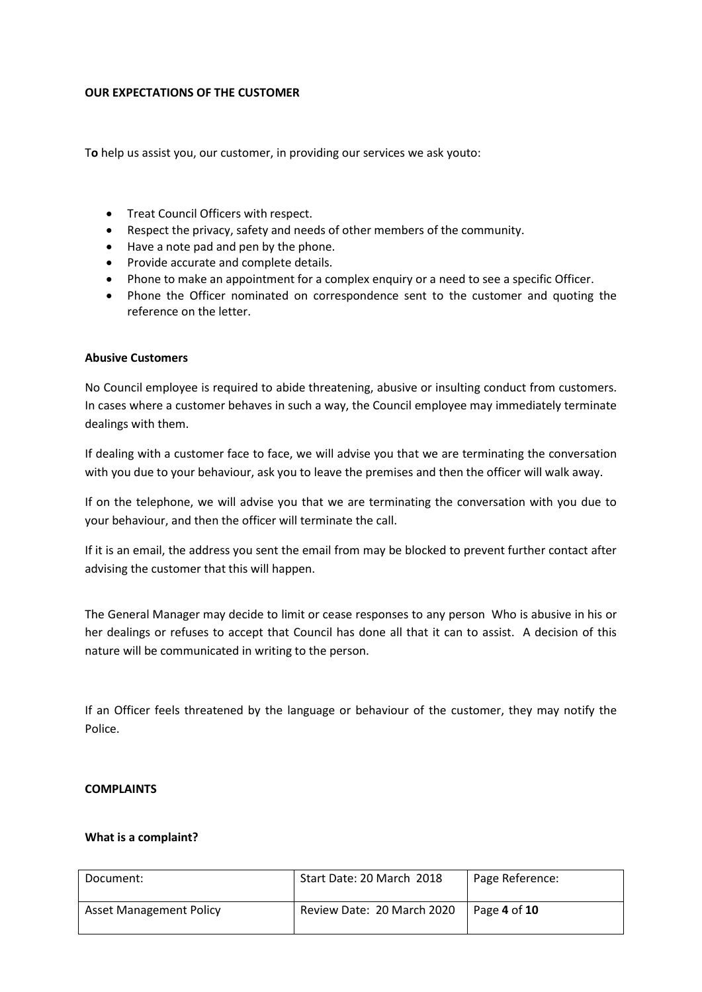## **OUR EXPECTATIONS OF THE CUSTOMER**

T**o** help us assist you, our customer, in providing our services we ask youto:

- **•** Treat Council Officers with respect.
- Respect the privacy, safety and needs of other members of the community.
- Have a note pad and pen by the phone.
- Provide accurate and complete details.
- Phone to make an appointment for a complex enquiry or a need to see a specific Officer.
- Phone the Officer nominated on correspondence sent to the customer and quoting the reference on the letter.

## **Abusive Customers**

No Council employee is required to abide threatening, abusive or insulting conduct from customers. In cases where a customer behaves in such a way, the Council employee may immediately terminate dealings with them.

If dealing with a customer face to face, we will advise you that we are terminating the conversation with you due to your behaviour, ask you to leave the premises and then the officer will walk away.

If on the telephone, we will advise you that we are terminating the conversation with you due to your behaviour, and then the officer will terminate the call.

If it is an email, the address you sent the email from may be blocked to prevent further contact after advising the customer that this will happen.

The General Manager may decide to limit or cease responses to any person Who is abusive in his or her dealings or refuses to accept that Council has done all that it can to assist. A decision of this nature will be communicated in writing to the person.

If an Officer feels threatened by the language or behaviour of the customer, they may notify the Police.

#### **COMPLAINTS**

#### **What is a complaint?**

| Document:                      | Start Date: 20 March 2018  | Page Reference: |
|--------------------------------|----------------------------|-----------------|
| <b>Asset Management Policy</b> | Review Date: 20 March 2020 | l Page 4 of 10  |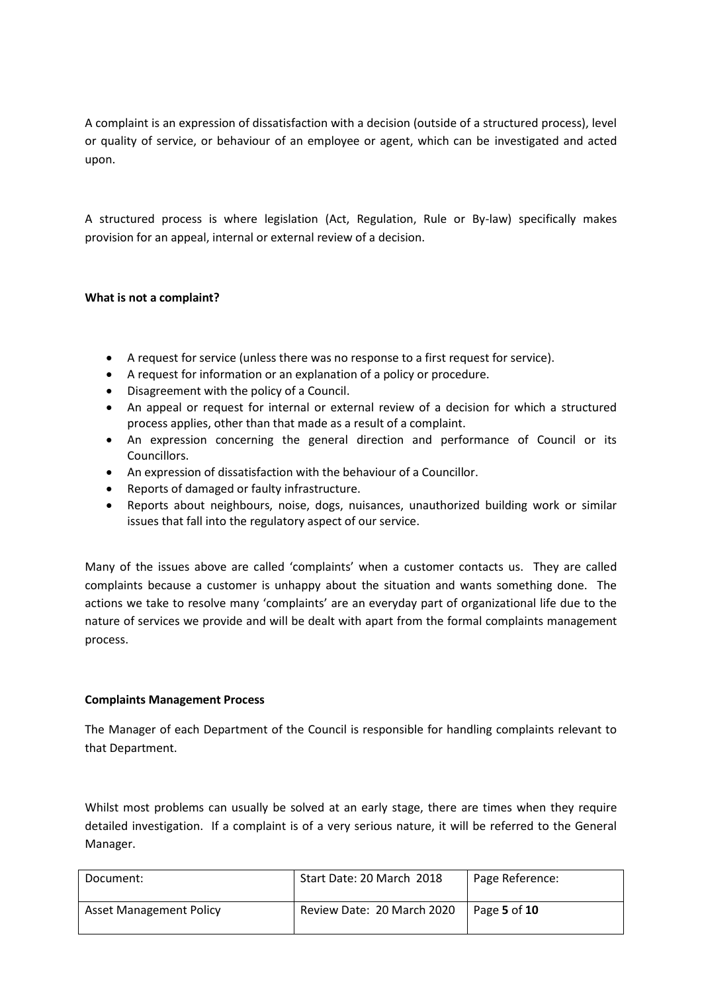A complaint is an expression of dissatisfaction with a decision (outside of a structured process), level or quality of service, or behaviour of an employee or agent, which can be investigated and acted upon.

A structured process is where legislation (Act, Regulation, Rule or By-law) specifically makes provision for an appeal, internal or external review of a decision.

# **What is not a complaint?**

- A request for service (unless there was no response to a first request for service).
- A request for information or an explanation of a policy or procedure.
- Disagreement with the policy of a Council.
- An appeal or request for internal or external review of a decision for which a structured process applies, other than that made as a result of a complaint.
- An expression concerning the general direction and performance of Council or its Councillors.
- An expression of dissatisfaction with the behaviour of a Councillor.
- Reports of damaged or faulty infrastructure.
- Reports about neighbours, noise, dogs, nuisances, unauthorized building work or similar issues that fall into the regulatory aspect of our service.

Many of the issues above are called 'complaints' when a customer contacts us. They are called complaints because a customer is unhappy about the situation and wants something done. The actions we take to resolve many 'complaints' are an everyday part of organizational life due to the nature of services we provide and will be dealt with apart from the formal complaints management process.

# **Complaints Management Process**

The Manager of each Department of the Council is responsible for handling complaints relevant to that Department.

Whilst most problems can usually be solved at an early stage, there are times when they require detailed investigation. If a complaint is of a very serious nature, it will be referred to the General Manager.

| Document:                      | Start Date: 20 March 2018  | Page Reference: |
|--------------------------------|----------------------------|-----------------|
| <b>Asset Management Policy</b> | Review Date: 20 March 2020 | Page 5 of 10    |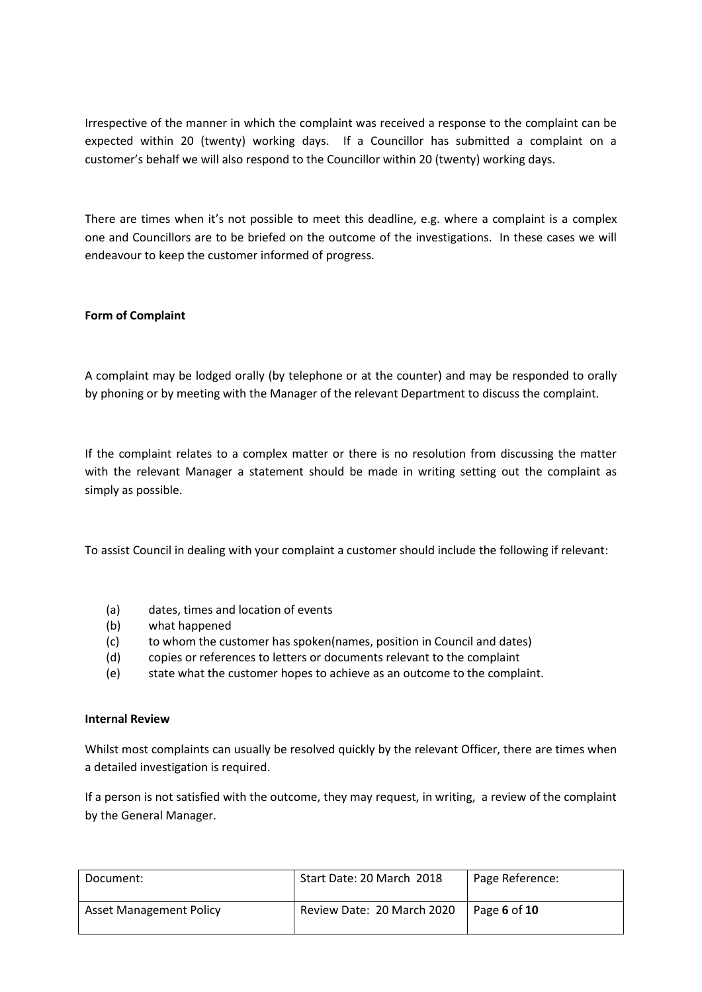Irrespective of the manner in which the complaint was received a response to the complaint can be expected within 20 (twenty) working days. If a Councillor has submitted a complaint on a customer's behalf we will also respond to the Councillor within 20 (twenty) working days.

There are times when it's not possible to meet this deadline, e.g. where a complaint is a complex one and Councillors are to be briefed on the outcome of the investigations. In these cases we will endeavour to keep the customer informed of progress.

# **Form of Complaint**

A complaint may be lodged orally (by telephone or at the counter) and may be responded to orally by phoning or by meeting with the Manager of the relevant Department to discuss the complaint.

If the complaint relates to a complex matter or there is no resolution from discussing the matter with the relevant Manager a statement should be made in writing setting out the complaint as simply as possible.

To assist Council in dealing with your complaint a customer should include the following if relevant:

- (a) dates, times and location of events
- (b) what happened
- (c) to whom the customer has spoken(names, position in Council and dates)
- (d) copies or references to letters or documents relevant to the complaint
- (e) state what the customer hopes to achieve as an outcome to the complaint.

# **Internal Review**

Whilst most complaints can usually be resolved quickly by the relevant Officer, there are times when a detailed investigation is required.

If a person is not satisfied with the outcome, they may request, in writing, a review of the complaint by the General Manager.

| Document:                      | Start Date: 20 March 2018  | Page Reference:      |
|--------------------------------|----------------------------|----------------------|
| <b>Asset Management Policy</b> | Review Date: 20 March 2020 | $\vert$ Page 6 of 10 |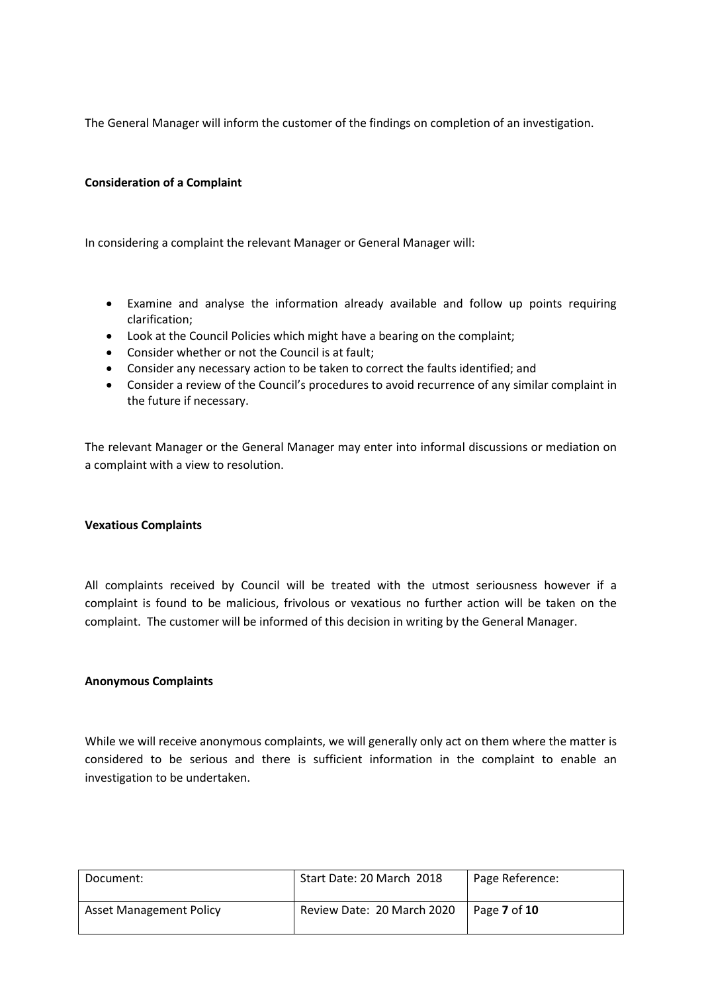The General Manager will inform the customer of the findings on completion of an investigation.

# **Consideration of a Complaint**

In considering a complaint the relevant Manager or General Manager will:

- Examine and analyse the information already available and follow up points requiring clarification;
- Look at the Council Policies which might have a bearing on the complaint;
- Consider whether or not the Council is at fault;
- Consider any necessary action to be taken to correct the faults identified; and
- Consider a review of the Council's procedures to avoid recurrence of any similar complaint in the future if necessary.

The relevant Manager or the General Manager may enter into informal discussions or mediation on a complaint with a view to resolution.

#### **Vexatious Complaints**

All complaints received by Council will be treated with the utmost seriousness however if a complaint is found to be malicious, frivolous or vexatious no further action will be taken on the complaint. The customer will be informed of this decision in writing by the General Manager.

# **Anonymous Complaints**

While we will receive anonymous complaints, we will generally only act on them where the matter is considered to be serious and there is sufficient information in the complaint to enable an investigation to be undertaken.

| Document:                      | Start Date: 20 March 2018  | Page Reference: |
|--------------------------------|----------------------------|-----------------|
| <b>Asset Management Policy</b> | Review Date: 20 March 2020 | Page 7 of 10    |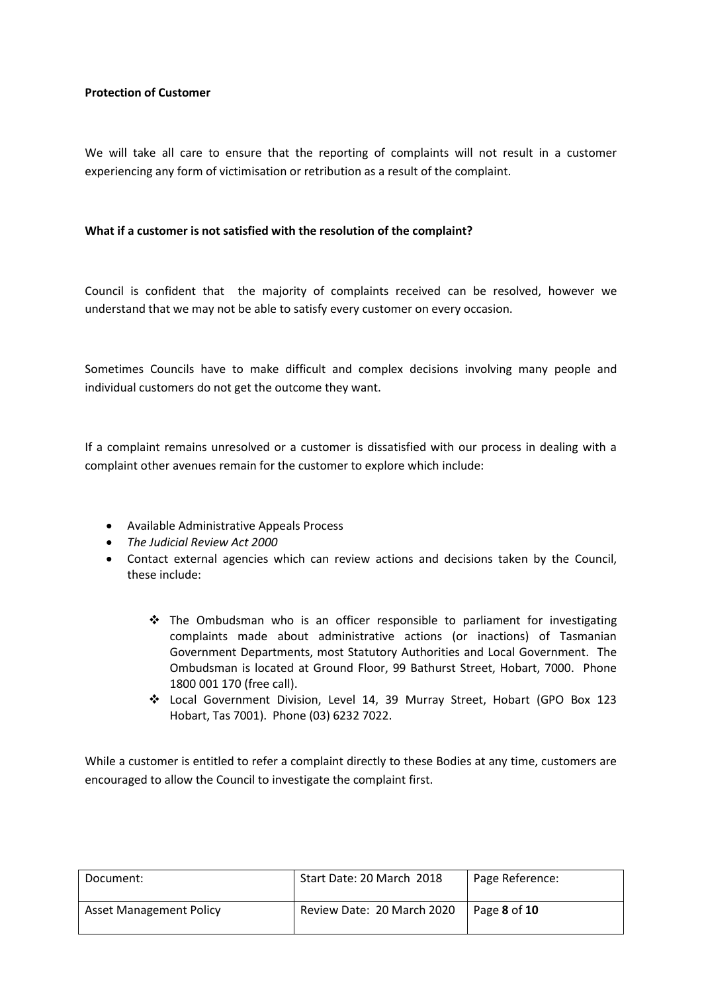# **Protection of Customer**

We will take all care to ensure that the reporting of complaints will not result in a customer experiencing any form of victimisation or retribution as a result of the complaint.

# **What if a customer is not satisfied with the resolution of the complaint?**

Council is confident that the majority of complaints received can be resolved, however we understand that we may not be able to satisfy every customer on every occasion.

Sometimes Councils have to make difficult and complex decisions involving many people and individual customers do not get the outcome they want.

If a complaint remains unresolved or a customer is dissatisfied with our process in dealing with a complaint other avenues remain for the customer to explore which include:

- Available Administrative Appeals Process
- *The Judicial Review Act 2000*
- Contact external agencies which can review actions and decisions taken by the Council, these include:
	- \* The Ombudsman who is an officer responsible to parliament for investigating complaints made about administrative actions (or inactions) of Tasmanian Government Departments, most Statutory Authorities and Local Government. The Ombudsman is located at Ground Floor, 99 Bathurst Street, Hobart, 7000. Phone 1800 001 170 (free call).
	- Local Government Division, Level 14, 39 Murray Street, Hobart (GPO Box 123 Hobart, Tas 7001). Phone (03) 6232 7022.

While a customer is entitled to refer a complaint directly to these Bodies at any time, customers are encouraged to allow the Council to investigate the complaint first.

| Document:                      | Start Date: 20 March 2018  | Page Reference: |
|--------------------------------|----------------------------|-----------------|
| <b>Asset Management Policy</b> | Review Date: 20 March 2020 | Page 8 of 10    |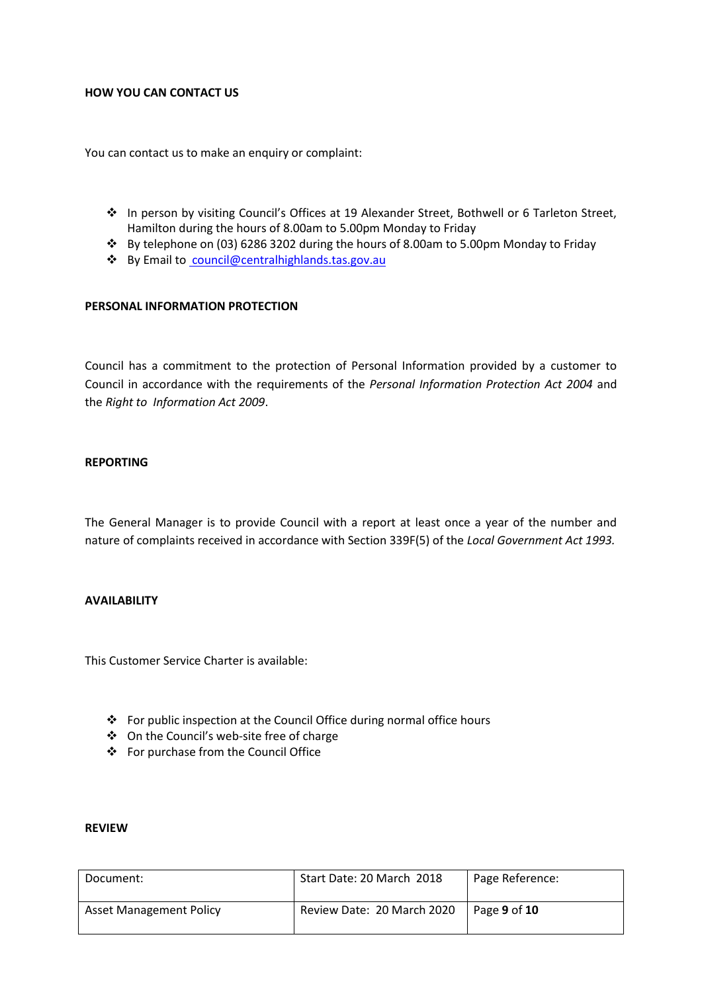## **HOW YOU CAN CONTACT US**

You can contact us to make an enquiry or complaint:

- In person by visiting Council's Offices at 19 Alexander Street, Bothwell or 6 Tarleton Street, Hamilton during the hours of 8.00am to 5.00pm Monday to Friday
- By telephone on (03) 6286 3202 during the hours of 8.00am to 5.00pm Monday to Friday
- By Email to [council@centralhighlands.tas.gov.au](mailto:cbryant@centralhighlands.tas.gov.au)

## **PERSONAL INFORMATION PROTECTION**

Council has a commitment to the protection of Personal Information provided by a customer to Council in accordance with the requirements of the *Personal Information Protection Act 2004* and the *Right to Information Act 2009*.

## **REPORTING**

The General Manager is to provide Council with a report at least once a year of the number and nature of complaints received in accordance with Section 339F(5) of the *Local Government Act 1993.*

# **AVAILABILITY**

This Customer Service Charter is available:

- For public inspection at the Council Office during normal office hours
- On the Council's web-site free of charge
- For purchase from the Council Office

#### **REVIEW**

| Document:                      | Start Date: 20 March 2018  | Page Reference: |
|--------------------------------|----------------------------|-----------------|
| <b>Asset Management Policy</b> | Review Date: 20 March 2020 | Page 9 of 10    |